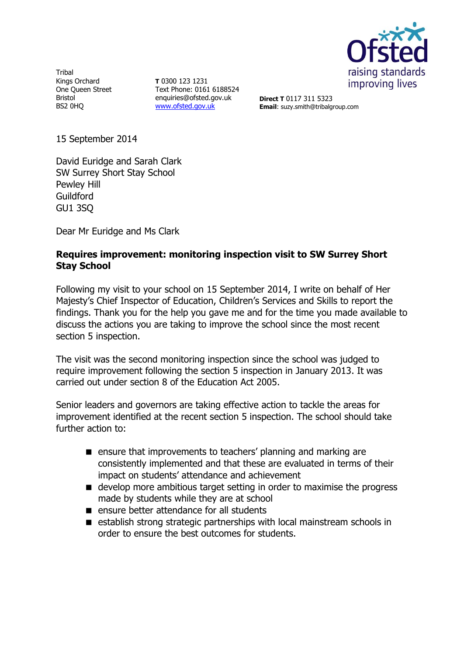

Tribal Kings Orchard One Queen Street Bristol BS2 0HQ

**T** 0300 123 1231 Text Phone: 0161 6188524 enquiries@ofsted.gov.uk [www.ofsted.gov.uk](http://www.ofsted.gov.uk/)

**Direct T** 0117 311 5323 **Email**: suzy.smith@tribalgroup.com

15 September 2014

David Euridge and Sarah Clark SW Surrey Short Stay School Pewley Hill Guildford GU1 3SQ

Dear Mr Euridge and Ms Clark

## **Requires improvement: monitoring inspection visit to SW Surrey Short Stay School**

Following my visit to your school on 15 September 2014, I write on behalf of Her Majesty's Chief Inspector of Education, Children's Services and Skills to report the findings. Thank you for the help you gave me and for the time you made available to discuss the actions you are taking to improve the school since the most recent section 5 inspection.

The visit was the second monitoring inspection since the school was judged to require improvement following the section 5 inspection in January 2013. It was carried out under section 8 of the Education Act 2005.

Senior leaders and governors are taking effective action to tackle the areas for improvement identified at the recent section 5 inspection. The school should take further action to:

- **E** ensure that improvements to teachers' planning and marking are consistently implemented and that these are evaluated in terms of their impact on students' attendance and achievement
- develop more ambitious target setting in order to maximise the progress made by students while they are at school
- $\blacksquare$  ensure better attendance for all students
- establish strong strategic partnerships with local mainstream schools in order to ensure the best outcomes for students.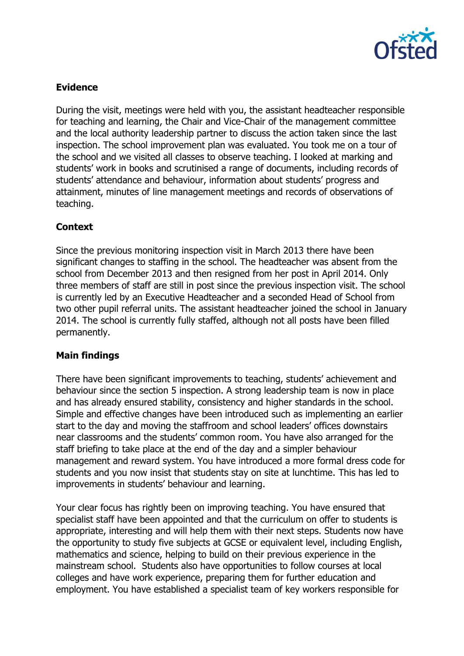

## **Evidence**

During the visit, meetings were held with you, the assistant headteacher responsible for teaching and learning, the Chair and Vice-Chair of the management committee and the local authority leadership partner to discuss the action taken since the last inspection. The school improvement plan was evaluated. You took me on a tour of the school and we visited all classes to observe teaching. I looked at marking and students' work in books and scrutinised a range of documents, including records of students' attendance and behaviour, information about students' progress and attainment, minutes of line management meetings and records of observations of teaching.

# **Context**

Since the previous monitoring inspection visit in March 2013 there have been significant changes to staffing in the school. The headteacher was absent from the school from December 2013 and then resigned from her post in April 2014. Only three members of staff are still in post since the previous inspection visit. The school is currently led by an Executive Headteacher and a seconded Head of School from two other pupil referral units. The assistant headteacher joined the school in January 2014. The school is currently fully staffed, although not all posts have been filled permanently.

#### **Main findings**

There have been significant improvements to teaching, students' achievement and behaviour since the section 5 inspection. A strong leadership team is now in place and has already ensured stability, consistency and higher standards in the school. Simple and effective changes have been introduced such as implementing an earlier start to the day and moving the staffroom and school leaders' offices downstairs near classrooms and the students' common room. You have also arranged for the staff briefing to take place at the end of the day and a simpler behaviour management and reward system. You have introduced a more formal dress code for students and you now insist that students stay on site at lunchtime. This has led to improvements in students' behaviour and learning.

Your clear focus has rightly been on improving teaching. You have ensured that specialist staff have been appointed and that the curriculum on offer to students is appropriate, interesting and will help them with their next steps. Students now have the opportunity to study five subjects at GCSE or equivalent level, including English, mathematics and science, helping to build on their previous experience in the mainstream school. Students also have opportunities to follow courses at local colleges and have work experience, preparing them for further education and employment. You have established a specialist team of key workers responsible for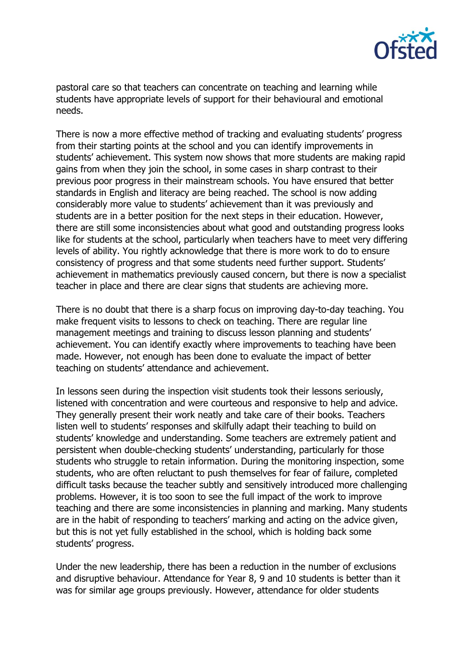

pastoral care so that teachers can concentrate on teaching and learning while students have appropriate levels of support for their behavioural and emotional needs.

There is now a more effective method of tracking and evaluating students' progress from their starting points at the school and you can identify improvements in students' achievement. This system now shows that more students are making rapid gains from when they join the school, in some cases in sharp contrast to their previous poor progress in their mainstream schools. You have ensured that better standards in English and literacy are being reached. The school is now adding considerably more value to students' achievement than it was previously and students are in a better position for the next steps in their education. However, there are still some inconsistencies about what good and outstanding progress looks like for students at the school, particularly when teachers have to meet very differing levels of ability. You rightly acknowledge that there is more work to do to ensure consistency of progress and that some students need further support. Students' achievement in mathematics previously caused concern, but there is now a specialist teacher in place and there are clear signs that students are achieving more.

There is no doubt that there is a sharp focus on improving day-to-day teaching. You make frequent visits to lessons to check on teaching. There are regular line management meetings and training to discuss lesson planning and students' achievement. You can identify exactly where improvements to teaching have been made. However, not enough has been done to evaluate the impact of better teaching on students' attendance and achievement.

In lessons seen during the inspection visit students took their lessons seriously, listened with concentration and were courteous and responsive to help and advice. They generally present their work neatly and take care of their books. Teachers listen well to students' responses and skilfully adapt their teaching to build on students' knowledge and understanding. Some teachers are extremely patient and persistent when double-checking students' understanding, particularly for those students who struggle to retain information. During the monitoring inspection, some students, who are often reluctant to push themselves for fear of failure, completed difficult tasks because the teacher subtly and sensitively introduced more challenging problems. However, it is too soon to see the full impact of the work to improve teaching and there are some inconsistencies in planning and marking. Many students are in the habit of responding to teachers' marking and acting on the advice given, but this is not yet fully established in the school, which is holding back some students' progress.

Under the new leadership, there has been a reduction in the number of exclusions and disruptive behaviour. Attendance for Year 8, 9 and 10 students is better than it was for similar age groups previously. However, attendance for older students